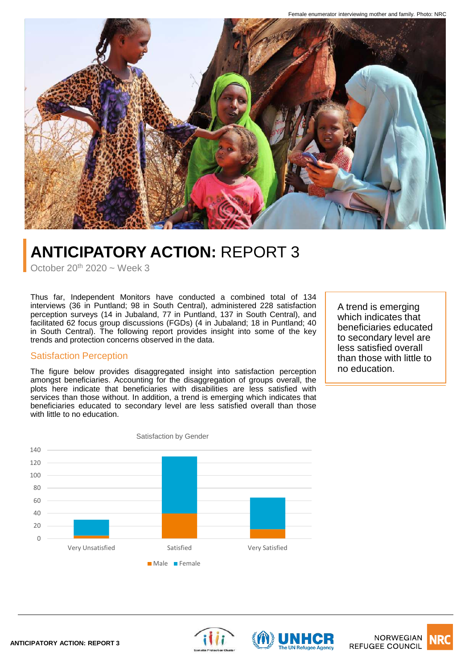

# **ANTICIPATORY ACTION:** REPORT 3

October  $20^{th}$  2020 ~ Week 3

Thus far, Independent Monitors have conducted a combined total of 134 interviews (36 in Puntland; 98 in South Central), administered 228 satisfaction perception surveys (14 in Jubaland, 77 in Puntland, 137 in South Central), and facilitated 62 focus group discussions (FGDs) (4 in Jubaland; 18 in Puntland; 40 in South Central). The following report provides insight into some of the key trends and protection concerns observed in the data.

## Satisfaction Perception

The figure below provides disaggregated insight into satisfaction perception amongst beneficiaries. Accounting for the disaggregation of groups overall, the plots here indicate that beneficiaries with disabilities are less satisfied with services than those without. In addition, a trend is emerging which indicates that beneficiaries educated to secondary level are less satisfied overall than those with little to no education.

A trend is emerging which indicates that beneficiaries educated to secondary level are less satisfied overall than those with little to no education.







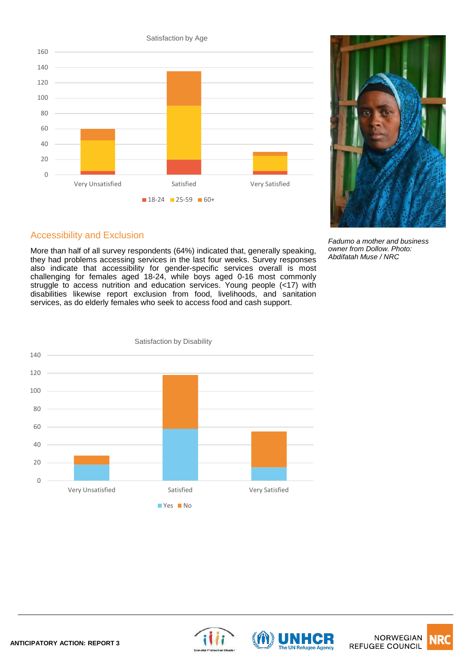$\Omega$ 20 40 60 80 100 120 140 160 Very Unsatisfied Satisfied Very Satisfied Satisfaction by Age  $18-24$  25-59 60+



*Fadumo a mother and business owner from Dollow. Photo: Abdifatah Muse / NRC*

# Accessibility and Exclusion

More than half of all survey respondents (64%) indicated that, generally speaking, they had problems accessing services in the last four weeks. Survey responses also indicate that accessibility for gender-specific services overall is most challenging for females aged 18-24, while boys aged 0-16 most commonly struggle to access nutrition and education services. Young people (<17) with disabilities likewise report exclusion from food, livelihoods, and sanitation services, as do elderly females who seek to access food and cash support.







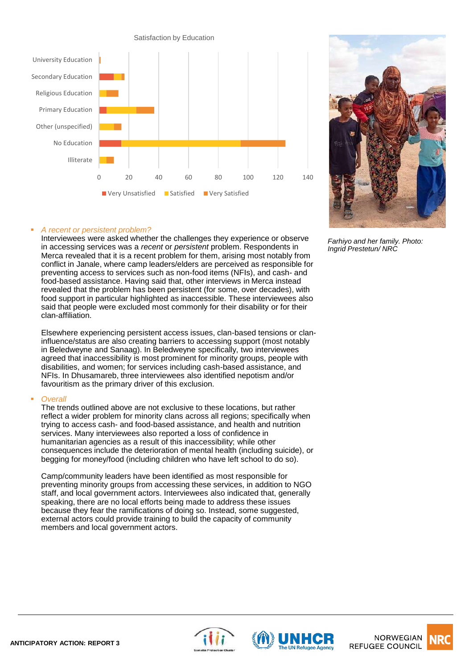



*Farhiyo and her family. Photo: Ingrid Prestetun/ NRC*

## ▪ *A recent or persistent problem?*

Interviewees were asked whether the challenges they experience or observe in accessing services was a *recent* or *persistent* problem. Respondents in Merca revealed that it is a recent problem for them, arising most notably from conflict in Janale, where camp leaders/elders are perceived as responsible for preventing access to services such as non-food items (NFIs), and cash- and food-based assistance. Having said that, other interviews in Merca instead revealed that the problem has been persistent (for some, over decades), with food support in particular highlighted as inaccessible. These interviewees also said that people were excluded most commonly for their disability or for their clan-affiliation.

Elsewhere experiencing persistent access issues, clan-based tensions or claninfluence/status are also creating barriers to accessing support (most notably in Beledweyne and Sanaag). In Beledweyne specifically, two interviewees agreed that inaccessibility is most prominent for minority groups, people with disabilities, and women; for services including cash-based assistance, and NFIs. In Dhusamareb, three interviewees also identified nepotism and/or favouritism as the primary driver of this exclusion.

#### ▪ *Overall*

The trends outlined above are not exclusive to these locations, but rather reflect a wider problem for minority clans across all regions; specifically when trying to access cash- and food-based assistance, and health and nutrition services. Many interviewees also reported a loss of confidence in humanitarian agencies as a result of this inaccessibility; while other consequences include the deterioration of mental health (including suicide), or begging for money/food (including children who have left school to do so).

Camp/community leaders have been identified as most responsible for preventing minority groups from accessing these services, in addition to NGO staff, and local government actors. Interviewees also indicated that, generally speaking, there are no local efforts being made to address these issues because they fear the ramifications of doing so. Instead, some suggested, external actors could provide training to build the capacity of community members and local government actors.







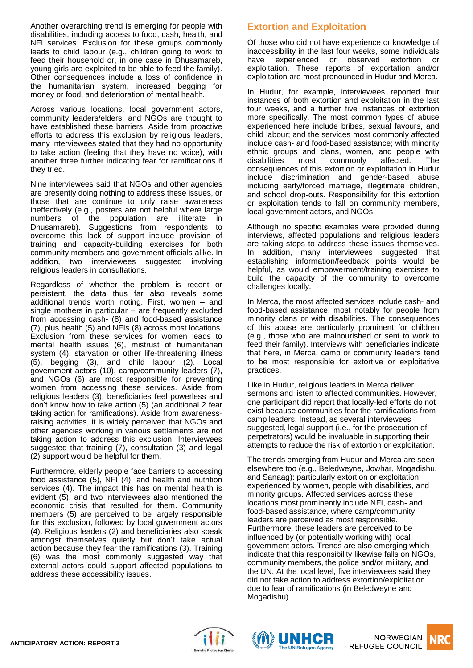Another overarching trend is emerging for people with disabilities, including access to food, cash, health, and NFI services. Exclusion for these groups commonly leads to child labour (e.g., children going to work to feed their household or, in one case in Dhusamareb, young girls are exploited to be able to feed the family). Other consequences include a loss of confidence in the humanitarian system, increased begging for money or food, and deterioration of mental health.

Across various locations, local government actors, community leaders/elders, and NGOs are thought to have established these barriers. Aside from proactive efforts to address this exclusion by religious leaders, many interviewees stated that they had no opportunity to take action (feeling that they have no voice), with another three further indicating fear for ramifications if they tried.

Nine interviewees said that NGOs and other agencies are presently doing nothing to address these issues, or those that are continue to only raise awareness ineffectively (e.g., posters are not helpful where large numbers of the population are illiterate in Dhusamareb). Suggestions from respondents to overcome this lack of support include provision of training and capacity-building exercises for both community members and government officials alike. In addition, two interviewees suggested involving religious leaders in consultations.

Regardless of whether the problem is recent or persistent, the data thus far also reveals some additional trends worth noting. First, women – and single mothers in particular – are frequently excluded from accessing cash- (8) and food-based assistance (7), plus health (5) and NFIs (8) across most locations. Exclusion from these services for women leads to mental health issues (6), mistrust of humanitarian system (4), starvation or other life-threatening illness (5), begging (3), and child labour (2). Local government actors (10), camp/community leaders (7), and NGOs (6) are most responsible for preventing women from accessing these services. Aside from religious leaders (3), beneficiaries feel powerless and don't know how to take action (5) (an additional 2 fear taking action for ramifications). Aside from awarenessraising activities, it is widely perceived that NGOs and other agencies working in various settlements are not taking action to address this exclusion. Interviewees suggested that training (7), consultation (3) and legal (2) support would be helpful for them.

Furthermore, elderly people face barriers to accessing food assistance (5), NFI (4), and health and nutrition services (4). The impact this has on mental health is evident (5), and two interviewees also mentioned the economic crisis that resulted for them. Community members (5) are perceived to be largely responsible for this exclusion, followed by local government actors (4). Religious leaders (2) and beneficiaries also speak amongst themselves quietly but don't take actual action because they fear the ramifications (3). Training (6) was the most commonly suggested way that external actors could support affected populations to address these accessibility issues.

# **Extortion and Exploitation**

Of those who did not have experience or knowledge of inaccessibility in the last four weeks, some individuals have experienced or observed extortion or exploitation. These reports of exportation and/or exploitation are most pronounced in Hudur and Merca.

In Hudur, for example, interviewees reported four instances of both extortion and exploitation in the last four weeks, and a further five instances of extortion more specifically. The most common types of abuse experienced here include bribes, sexual favours, and child labour; and the services most commonly affected include cash- and food-based assistance; with minority ethnic groups and clans, women, and people with disabilities most commonly affected. The consequences of this extortion or exploitation in Hudur include discrimination and gender-based abuse including early/forced marriage, illegitimate children, and school drop-outs. Responsibility for this extortion or exploitation tends to fall on community members, local government actors, and NGOs.

Although no specific examples were provided during interviews, affected populations and religious leaders are taking steps to address these issues themselves. In addition, many interviewees suggested that establishing information/feedback points would be helpful, as would empowerment/training exercises to build the capacity of the community to overcome challenges locally.

In Merca, the most affected services include cash- and food-based assistance; most notably for people from minority clans or with disabilities. The consequences of this abuse are particularly prominent for children (e.g., those who are malnourished or sent to work to feed their family). Interviews with beneficiaries indicate that here, in Merca, camp or community leaders tend to be most responsible for extortive or exploitative practices.

Like in Hudur, religious leaders in Merca deliver sermons and listen to affected communities. However, one participant did report that locally-led efforts do not exist because communities fear the ramifications from camp leaders. Instead, as several interviewees suggested, legal support (i.e., for the prosecution of perpetrators) would be invaluable in supporting their attempts to reduce the risk of extortion or exploitation.

The trends emerging from Hudur and Merca are seen elsewhere too (e.g., Beledweyne, Jowhar, Mogadishu, and Sanaag): particularly extortion or exploitation experienced by women, people with disabilities, and minority groups. Affected services across these locations most prominently include NFI, cash- and food-based assistance, where camp/community leaders are perceived as most responsible. Furthermore, these leaders are perceived to be influenced by (or potentially working with) local government actors. Trends are also emerging which indicate that this responsibility likewise falls on NGOs, community members, the police and/or military, and the UN. At the local level, five interviewees said they did not take action to address extortion/exploitation due to fear of ramifications (in Beledweyne and Mogadishu).